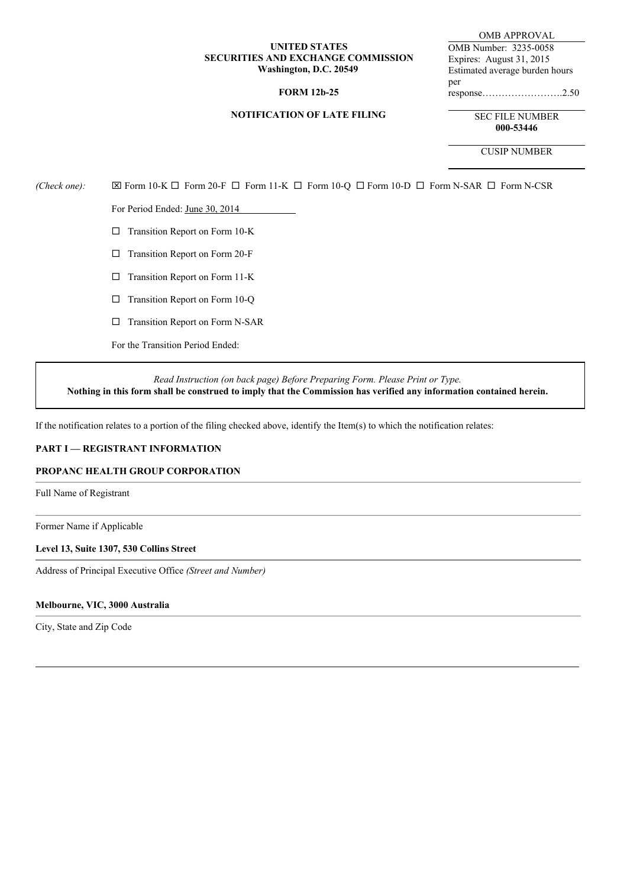## **UNITED STATES SECURITIES AND EXCHANGE COMMISSION Washington, D.C. 20549**

## **FORM 12b-25**

#### **NOTIFICATION OF LATE FILING**

OMB APPROVAL OMB Number: 3235-0058 Expires: August 31, 2015 Estimated average burden hours per response…………………….2.50

> SEC FILE NUMBER **000-53446**

> > CUSIP NUMBER

 $(Check\ one):$   $\boxtimes$  Form 10-K  $\square$  Form 20-F  $\square$  Form 11-K  $\square$  Form 10-Q  $\square$  Form 10-D  $\square$  Form N-SAR  $\square$  Form N-CSR

For Period Ended: June 30, 2014

- $\square$  Transition Report on Form 10-K
- $\square$  Transition Report on Form 20-F
- $\square$  Transition Report on Form 11-K
- $\Box$  Transition Report on Form 10-Q
- $\square$  Transition Report on Form N-SAR

For the Transition Period Ended:

*Read Instruction (on back page) Before Preparing Form. Please Print or Type.* Nothing in this form shall be construed to imply that the Commission has verified any information contained herein.

If the notification relates to a portion of the filing checked above, identify the Item(s) to which the notification relates:

## **PART I — REGISTRANT INFORMATION**

#### **PROPANC HEALTH GROUP CORPORATION**

Full Name of Registrant

Former Name if Applicable

#### **Level 13, Suite 1307, 530 Collins Street**

Address of Principal Executive Office *(Street and Number)*

## **Melbourne, VIC, 3000 Australia**

City, State and Zip Code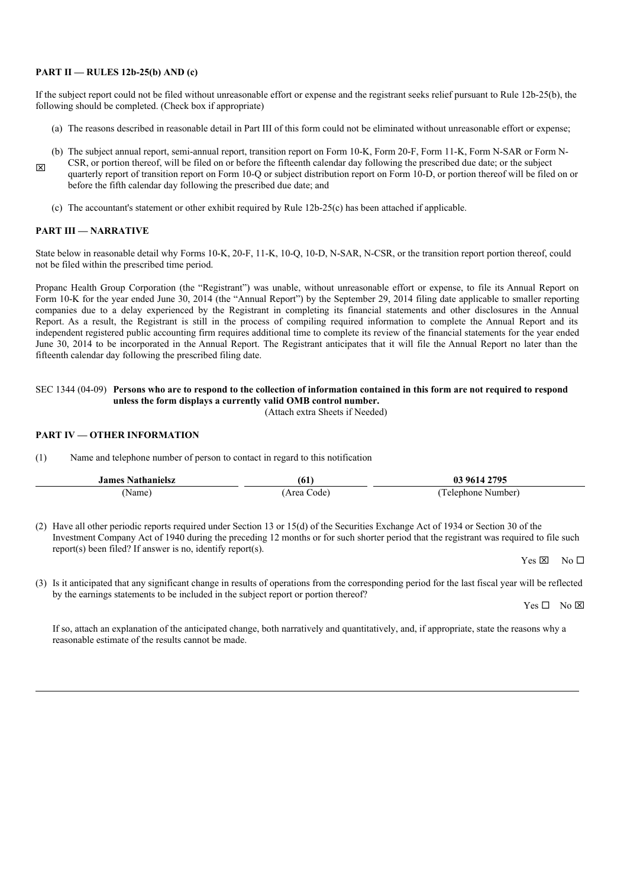#### **PART II — RULES 12b-25(b) AND (c)**

If the subject report could not be filed without unreasonable effort or expense and the registrant seeks relief pursuant to Rule 12b-25(b), the following should be completed. (Check box if appropriate)

- (a) The reasons described in reasonable detail in Part III of this form could not be eliminated without unreasonable effort or expense;
- (b) The subject annual report, semi-annual report, transition report on Form 10-K, Form 20-F, Form 11-K, Form N-SAR or Form N-
- **x** CSR, or portion thereof, will be filed on or before the fifteenth calendar day following the prescribed due date; or the subject quarterly report of transition report on Form 10-Q or subject distribution report on Form 10-D, or portion thereof will be filed on or before the fifth calendar day following the prescribed due date; and
	- (c) The accountant's statement or other exhibit required by Rule 12b-25(c) has been attached if applicable.

#### **PART III — NARRATIVE**

State below in reasonable detail why Forms 10-K, 20-F, 11-K, 10-Q, 10-D, N-SAR, N-CSR, or the transition report portion thereof, could not be filed within the prescribed time period.

Propanc Health Group Corporation (the "Registrant") was unable, without unreasonable effort or expense, to file its Annual Report on Form 10-K for the year ended June 30, 2014 (the "Annual Report") by the September 29, 2014 filing date applicable to smaller reporting companies due to a delay experienced by the Registrant in completing its financial statements and other disclosures in the Annual Report. As a result, the Registrant is still in the process of compiling required information to complete the Annual Report and its independent registered public accounting firm requires additional time to complete its review of the financial statements for the year ended June 30, 2014 to be incorporated in the Annual Report. The Registrant anticipates that it will file the Annual Report no later than the fifteenth calendar day following the prescribed filing date.

#### SEC 1344 (04-09) Persons who are to respond to the collection of information contained in this form are not required to respond **unless the form displays a currently valid OMB control number.**

(Attach extra Sheets if Needed)

## **PART IV — OTHER INFORMATION**

(1) Name and telephone number of person to contact in regard to this notification

| <b>James Nathanielsz</b> | (61)       | 03 9614 2795       |
|--------------------------|------------|--------------------|
| (Name                    | Area Code) | 'Telephone Number) |

(2) Have all other periodic reports required under Section 13 or 15(d) of the Securities Exchange Act of 1934 or Section 30 of the Investment Company Act of 1940 during the preceding 12 months or for such shorter period that the registrant was required to file such report(s) been filed? If answer is no, identify report(s).

 $Yes \boxtimes \neg No \Box$ 

(3) Is it anticipated that any significant change in results of operations from the corresponding period for the last fiscal year will be reflected by the earnings statements to be included in the subject report or portion thereof?

 $Yes \Box No \boxtimes$ 

If so, attach an explanation of the anticipated change, both narratively and quantitatively, and, if appropriate, state the reasons why a reasonable estimate of the results cannot be made.